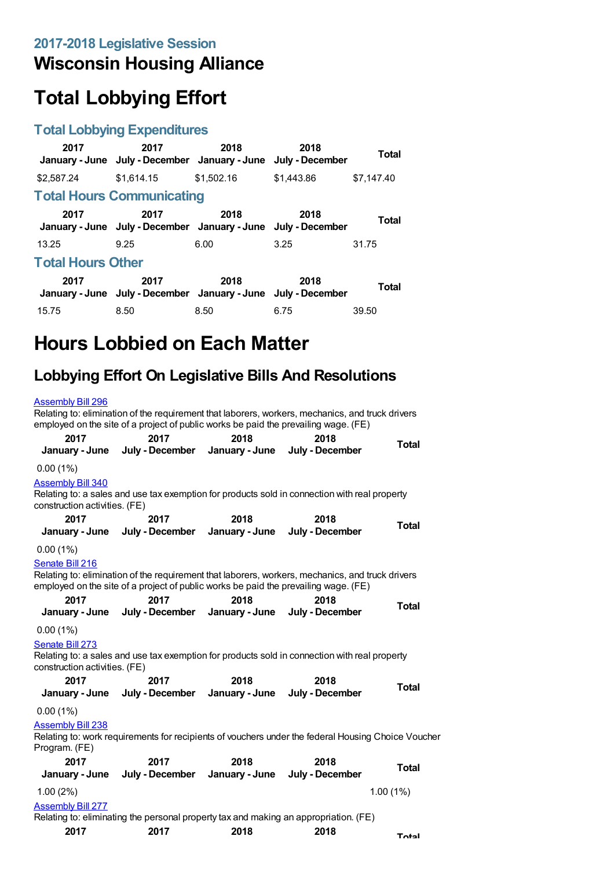## **Wisconsin Housing Alliance**

# **Total Lobbying Effort**

### **Total Lobbying Expenditures**

| 2017                     | 2017<br>January - June July - December January - June                 | 2018       | 2018<br>July - December | Total      |
|--------------------------|-----------------------------------------------------------------------|------------|-------------------------|------------|
| \$2,587.24               | \$1.614.15                                                            | \$1,502.16 | \$1,443.86              | \$7.147.40 |
|                          | <b>Total Hours Communicating</b>                                      |            |                         |            |
| 2017                     | 2017<br>January - June July - December January - June July - December | 2018       | 2018                    | Total      |
| 13.25                    | 9.25                                                                  | 6.00       | 3.25                    | 31.75      |
| <b>Total Hours Other</b> |                                                                       |            |                         |            |
| 2017                     | 2017<br>January - June July - December January - June July - December | 2018       | 2018                    | Total      |
| 15.75                    | 8.50                                                                  | 8.50       | 6.75                    | 39.50      |

# **Hours Lobbied on Each Matter**

## **Lobbying Effort On Legislative Bills And Resolutions**

### [Assembly](https://lobbying.wi.gov/What/BillInformation/2017REG/Information/14306?tab=Efforts) Bill 296

Relating to: elimination of the requirement that laborers, workers, mechanics, and truck drivers employed on the site of a project of public works be paid the prevailing wage. (FE)

| 2017                                                      | 2017<br>January - June July - December January - June July - December | 2018           | 2018                                                                                                                                                                                    | Total        |
|-----------------------------------------------------------|-----------------------------------------------------------------------|----------------|-----------------------------------------------------------------------------------------------------------------------------------------------------------------------------------------|--------------|
| 0.00(1%)                                                  |                                                                       |                |                                                                                                                                                                                         |              |
| <b>Assembly Bill 340</b><br>construction activities. (FE) |                                                                       |                | Relating to: a sales and use tax exemption for products sold in connection with real property                                                                                           |              |
| 2017                                                      | 2017                                                                  | 2018           | 2018                                                                                                                                                                                    | Total        |
| January - June                                            | July - December                                                       | January - June | July - December                                                                                                                                                                         |              |
| 0.00(1%)                                                  |                                                                       |                |                                                                                                                                                                                         |              |
| Senate Bill 216                                           |                                                                       |                |                                                                                                                                                                                         |              |
|                                                           |                                                                       |                | Relating to: elimination of the requirement that laborers, workers, mechanics, and truck drivers<br>employed on the site of a project of public works be paid the prevailing wage. (FE) |              |
| 2017                                                      | 2017                                                                  | 2018           | 2018                                                                                                                                                                                    | <b>Total</b> |
|                                                           | January - June July - December January - June July - December         |                |                                                                                                                                                                                         |              |
| 0.00(1%)                                                  |                                                                       |                |                                                                                                                                                                                         |              |
| Senate Bill 273<br>construction activities. (FE)          |                                                                       |                | Relating to: a sales and use tax exemption for products sold in connection with real property                                                                                           |              |
| 2017                                                      | 2017                                                                  | 2018           | 2018                                                                                                                                                                                    |              |
|                                                           | January - June July - December January - June July - December         |                |                                                                                                                                                                                         | <b>Total</b> |
| 0.00(1%)                                                  |                                                                       |                |                                                                                                                                                                                         |              |
| <b>Assembly Bill 238</b><br>Program. (FE)                 |                                                                       |                | Relating to: work requirements for recipients of vouchers under the federal Housing Choice Voucher                                                                                      |              |
| 2017                                                      | 2017                                                                  | 2018           | 2018                                                                                                                                                                                    |              |
| January - June                                            | July - December                                                       | January - June | July - December                                                                                                                                                                         | Total        |
| 1.00(2%)                                                  |                                                                       |                |                                                                                                                                                                                         | 1.00(1%)     |
| <b>Assembly Bill 277</b>                                  |                                                                       |                |                                                                                                                                                                                         |              |
|                                                           |                                                                       |                | Relating to: eliminating the personal property tax and making an appropriation. (FE)                                                                                                    |              |
| 2017                                                      | 2017                                                                  | 2018           | 2018                                                                                                                                                                                    | <b>Total</b> |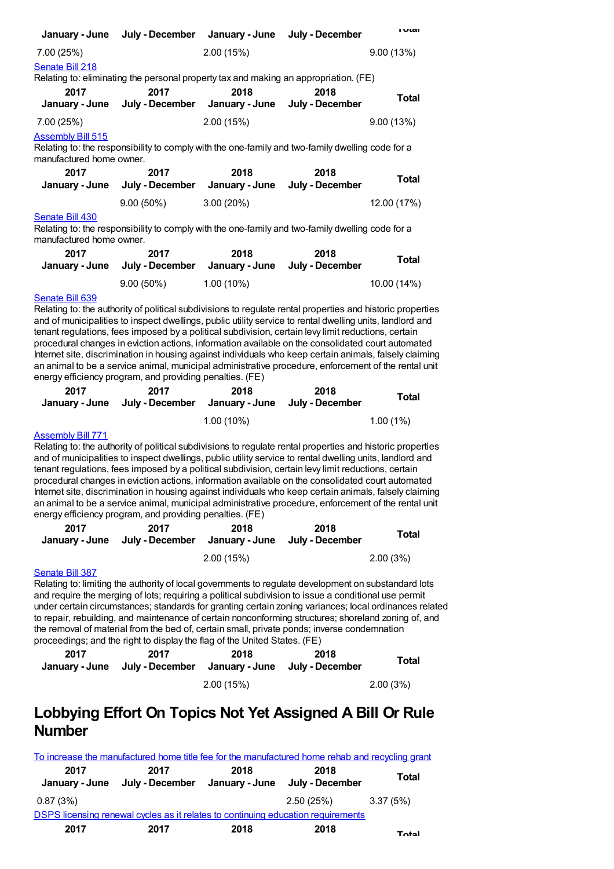| January - June                                       | July - December                                                                                  | January - June | July - December         | ι νιαι    |
|------------------------------------------------------|--------------------------------------------------------------------------------------------------|----------------|-------------------------|-----------|
| 7.00 (25%)                                           |                                                                                                  | 2.00(15%)      |                         | 9.00(13%) |
| Senate Bill 218                                      |                                                                                                  |                |                         |           |
|                                                      | Relating to: eliminating the personal property tax and making an appropriation. (FE)             |                |                         |           |
| 2017<br>January - June                               | 2017<br>July - December January - June                                                           | 2018           | 2018<br>July - December | Total     |
| 7.00 (25%)                                           |                                                                                                  | 2.00(15%)      |                         | 9.00(13%) |
| <b>Assembly Bill 515</b><br>manufactured home owner. | Relating to: the responsibility to comply with the one-family and two-family dwelling code for a |                |                         |           |

| 2017 | 2017<br>January - June July - December January - June July - December | 2018         | 2018 | Total       |
|------|-----------------------------------------------------------------------|--------------|------|-------------|
|      | $9.00(50\%)$                                                          | $3.00(20\%)$ |      | 12.00 (17%) |

#### [Senate](https://lobbying.wi.gov/What/BillInformation/2017REG/Information/14823?tab=Efforts) Bill 430

Relating to: the responsibility to comply with the one-family and two-family dwelling code for a manufactured home owner.

| 2017 | 2017<br>January - June July - December | 2018<br>January - June July - December | 2018 | Total       |
|------|----------------------------------------|----------------------------------------|------|-------------|
|      | $9.00(50\%)$                           | $1.00(10\%)$                           |      | 10.00 (14%) |

#### [Senate](https://lobbying.wi.gov/What/BillInformation/2017REG/Information/15273?tab=Efforts) Bill 639

Relating to: the authority of political subdivisions to regulate rental properties and historic properties and of municipalities to inspect dwellings, public utility service to rental dwelling units, landlord and tenant regulations, fees imposed by a political subdivision, certain levy limit reductions, certain procedural changes in eviction actions, information available on the consolidated court automated Internet site, discrimination in housing against individuals who keep certain animals, falsely claiming an animal to be a service animal, municipal administrative procedure, enforcement of the rental unit energy efficiency program, and providing penalties. (FE)

| 2017 | 2017<br>January - June July - December January - June | 2018         | 2018<br>Julv - December | Total       |
|------|-------------------------------------------------------|--------------|-------------------------|-------------|
|      |                                                       | $1.00(10\%)$ |                         | $1.00(1\%)$ |

#### [Assembly](https://lobbying.wi.gov/What/BillInformation/2017REG/Information/15309?tab=Efforts) Bill 771

Relating to: the authority of political subdivisions to regulate rental properties and historic properties and of municipalities to inspect dwellings, public utility service to rental dwelling units, landlord and tenant regulations, fees imposed by a political subdivision, certain levy limit reductions, certain procedural changes in eviction actions, information available on the consolidated court automated Internet site, discrimination in housing against individuals who keep certain animals, falsely claiming an animal to be a service animal, municipal administrative procedure, enforcement of the rental unit energy efficiency program, and providing penalties. (FE)

| 2017 | 2017<br>January - June July - December January - June July - December | 2018      | 2018 | Total    |
|------|-----------------------------------------------------------------------|-----------|------|----------|
|      |                                                                       | 2.00(15%) |      | 2.00(3%) |

#### [Senate](https://lobbying.wi.gov/What/BillInformation/2017REG/Information/14703?tab=Efforts) Bill 387

Relating to: limiting the authority of local governments to regulate development on substandard lots and require the merging of lots; requiring a political subdivision to issue a conditional use permit under certain circumstances; standards for granting certain zoning variances; local ordinances related to repair, rebuilding, and maintenance of certain nonconforming structures; shoreland zoning of, and the removal of material from the bed of, certain small, private ponds; inverse condemnation proceedings; and the right to display the flag of the United States. (FE)

| 2017 | 2017<br>January - June July - December January - June July - December | 2018      | 2018 | Total    |
|------|-----------------------------------------------------------------------|-----------|------|----------|
|      |                                                                       | 2.00(15%) |      | 2.00(3%) |

## **Lobbying Effort On Topics Not Yet Assigned A Bill Or Rule Number**

|                        | To increase the manufactured home title fee for the manufactured home rehab and recycling grant |      |                                        |              |
|------------------------|-------------------------------------------------------------------------------------------------|------|----------------------------------------|--------------|
| 2017<br>January - June | 2017<br>July - December                                                                         | 2018 | 2018<br>January - June July - December | <b>Total</b> |
| 0.87(3%)               |                                                                                                 |      | 2.50(25%)                              | 3.37 (5%)    |
|                        | DSPS licensing renewal cycles as it relates to continuing education requirements                |      |                                        |              |
| 2017                   | 2017                                                                                            | 2018 | 2018                                   | <b>Total</b> |